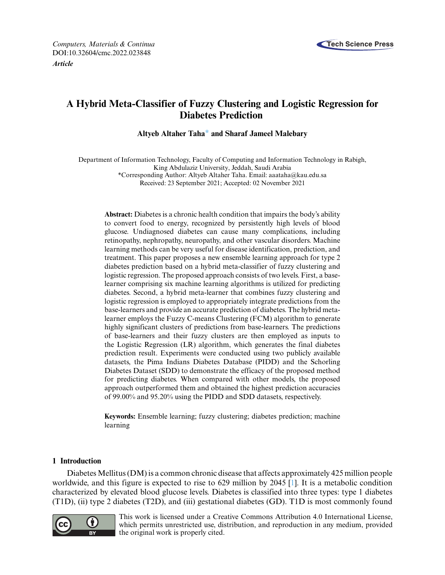

# **A Hybrid Meta-Classifier of Fuzzy Clustering and Logistic Regression for Diabetes Prediction**

**Altyeb Altaher Tah[a\\*](#page-0-0) and Sharaf Jameel Malebary**

Department of Information Technology, Faculty of Computing and Information Technology in Rabigh, King Abdulaziz University, Jeddah, Saudi Arabia \*Corresponding Author: Altyeb Altaher Taha. Email: [aaataha@kau.edu.sa](mailto:aaataha@kau.edu.sa) Received: 23 September 2021; Accepted: 02 November 2021

<span id="page-0-0"></span>**Abstract:** Diabetes is a chronic health condition that impairs the body's ability to convert food to energy, recognized by persistently high levels of blood glucose. Undiagnosed diabetes can cause many complications, including retinopathy, nephropathy, neuropathy, and other vascular disorders. Machine learning methods can be very useful for disease identification, prediction, and treatment. This paper proposes a new ensemble learning approach for type 2 diabetes prediction based on a hybrid meta-classifier of fuzzy clustering and logistic regression. The proposed approach consists of two levels. First, a baselearner comprising six machine learning algorithms is utilized for predicting diabetes. Second, a hybrid meta-learner that combines fuzzy clustering and logistic regression is employed to appropriately integrate predictions from the base-learners and provide an accurate prediction of diabetes. The hybrid metalearner employs the Fuzzy C-means Clustering (FCM) algorithm to generate highly significant clusters of predictions from base-learners. The predictions of base-learners and their fuzzy clusters are then employed as inputs to the Logistic Regression (LR) algorithm, which generates the final diabetes prediction result. Experiments were conducted using two publicly available datasets, the Pima Indians Diabetes Database (PIDD) and the Schorling Diabetes Dataset (SDD) to demonstrate the efficacy of the proposed method for predicting diabetes. When compared with other models, the proposed approach outperformed them and obtained the highest prediction accuracies of 99.00% and 95.20% using the PIDD and SDD datasets, respectively.

**Keywords:** Ensemble learning; fuzzy clustering; diabetes prediction; machine learning

# **1 Introduction**

Diabetes Mellitus (DM) is a common chronic disease that affects approximately 425 million people worldwide, and this figure is expected to rise to 629 million by 2045 [\[1\]](#page-14-0). It is a metabolic condition characterized by elevated blood glucose levels. Diabetes is classified into three types: type 1 diabetes (T1D), (ii) type 2 diabetes (T2D), and (iii) gestational diabetes (GD). T1D is most commonly found



This work is licensed under a Creative Commons Attribution 4.0 International License, which permits unrestricted use, distribution, and reproduction in any medium, provided the original work is properly cited.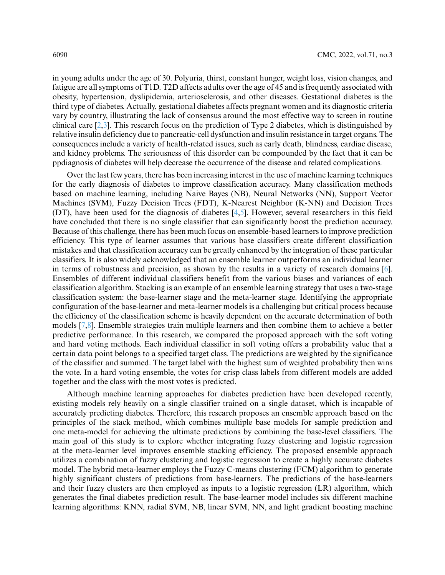in young adults under the age of 30. Polyuria, thirst, constant hunger, weight loss, vision changes, and fatigue are all symptoms of T1D. T2D affects adults over the age of 45 and is frequently associated with obesity, hypertension, dyslipidemia, arteriosclerosis, and other diseases. Gestational diabetes is the third type of diabetes. Actually, gestational diabetes affects pregnant women and its diagnostic criteria vary by country, illustrating the lack of consensus around the most effective way to screen in routine clinical care [\[2,](#page-14-1)[3\]](#page-14-2). This research focus on the prediction of Type 2 diabetes, which is distinguished by relative insulin deficiency due to pancreatic-cell dysfunction and insulin resistance in target organs. The consequences include a variety of health-related issues, such as early death, blindness, cardiac disease, and kidney problems. The seriousness of this disorder can be compounded by the fact that it can be ppdiagnosis of diabetes will help decrease the occurrence of the disease and related complications.

Over the last few years, there has been increasing interest in the use of machine learning techniques for the early diagnosis of diabetes to improve classification accuracy. Many classification methods based on machine learning, including Naive Bayes (NB), Neural Networks (NN), Support Vector Machines (SVM), Fuzzy Decision Trees (FDT), K-Nearest Neighbor (K-NN) and Decision Trees (DT), have been used for the diagnosis of diabetes [\[4](#page-14-3)[,5\]](#page-14-4). However, several researchers in this field have concluded that there is no single classifier that can significantly boost the prediction accuracy. Because of this challenge, there has been much focus on ensemble-based learners to improve prediction efficiency. This type of learner assumes that various base classifiers create different classification mistakes and that classification accuracy can be greatly enhanced by the integration of these particular classifiers. It is also widely acknowledged that an ensemble learner outperforms an individual learner in terms of robustness and precision, as shown by the results in a variety of research domains [\[6\]](#page-14-5). Ensembles of different individual classifiers benefit from the various biases and variances of each classification algorithm. Stacking is an example of an ensemble learning strategy that uses a two-stage classification system: the base-learner stage and the meta-learner stage. Identifying the appropriate configuration of the base-learner and meta-learner models is a challenging but critical process because the efficiency of the classification scheme is heavily dependent on the accurate determination of both models [\[7](#page-14-6)[,8\]](#page-14-7). Ensemble strategies train multiple learners and then combine them to achieve a better predictive performance. In this research, we compared the proposed approach with the soft voting and hard voting methods. Each individual classifier in soft voting offers a probability value that a certain data point belongs to a specified target class. The predictions are weighted by the significance of the classifier and summed. The target label with the highest sum of weighted probability then wins the vote. In a hard voting ensemble, the votes for crisp class labels from different models are added together and the class with the most votes is predicted.

Although machine learning approaches for diabetes prediction have been developed recently, existing models rely heavily on a single classifier trained on a single dataset, which is incapable of accurately predicting diabetes. Therefore, this research proposes an ensemble approach based on the principles of the stack method, which combines multiple base models for sample prediction and one meta-model for achieving the ultimate predictions by combining the base-level classifiers. The main goal of this study is to explore whether integrating fuzzy clustering and logistic regression at the meta-learner level improves ensemble stacking efficiency. The proposed ensemble approach utilizes a combination of fuzzy clustering and logistic regression to create a highly accurate diabetes model. The hybrid meta-learner employs the Fuzzy C-means clustering (FCM) algorithm to generate highly significant clusters of predictions from base-learners. The predictions of the base-learners and their fuzzy clusters are then employed as inputs to a logistic regression (LR) algorithm, which generates the final diabetes prediction result. The base-learner model includes six different machine learning algorithms: KNN, radial SVM, NB, linear SVM, NN, and light gradient boosting machine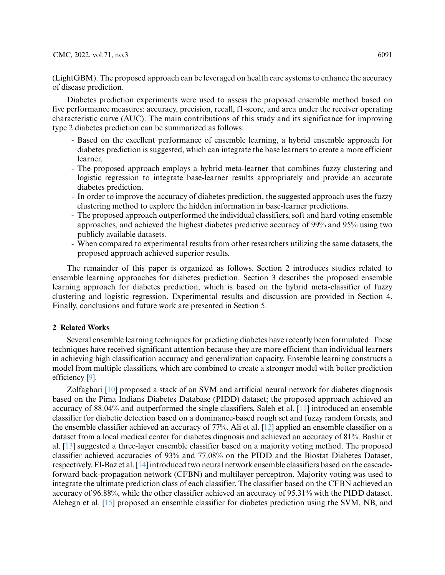## CMC, 2022, vol.71, no.3 6091

(LightGBM). The proposed approach can be leveraged on health care systems to enhance the accuracy of disease prediction.

Diabetes prediction experiments were used to assess the proposed ensemble method based on five performance measures: accuracy, precision, recall, f1-score, and area under the receiver operating characteristic curve (AUC). The main contributions of this study and its significance for improving type 2 diabetes prediction can be summarized as follows:

- Based on the excellent performance of ensemble learning, a hybrid ensemble approach for diabetes prediction is suggested, which can integrate the base learners to create a more efficient learner.
- The proposed approach employs a hybrid meta-learner that combines fuzzy clustering and logistic regression to integrate base-learner results appropriately and provide an accurate diabetes prediction.
- In order to improve the accuracy of diabetes prediction, the suggested approach uses the fuzzy clustering method to explore the hidden information in base-learner predictions.
- The proposed approach outperformed the individual classifiers, soft and hard voting ensemble approaches, and achieved the highest diabetes predictive accuracy of 99% and 95% using two publicly available datasets.
- When compared to experimental results from other researchers utilizing the same datasets, the proposed approach achieved superior results.

The remainder of this paper is organized as follows. Section 2 introduces studies related to ensemble learning approaches for diabetes prediction. Section 3 describes the proposed ensemble learning approach for diabetes prediction, which is based on the hybrid meta-classifier of fuzzy clustering and logistic regression. Experimental results and discussion are provided in Section 4. Finally, conclusions and future work are presented in Section 5.

## **2 Related Works**

Several ensemble learning techniques for predicting diabetes have recently been formulated. These techniques have received significant attention because they are more efficient than individual learners in achieving high classification accuracy and generalization capacity. Ensemble learning constructs a model from multiple classifiers, which are combined to create a stronger model with better prediction efficiency [\[9\]](#page-14-8).

Zolfaghari [\[10\]](#page-15-0) proposed a stack of an SVM and artificial neural network for diabetes diagnosis based on the Pima Indians Diabetes Database (PIDD) dataset; the proposed approach achieved an accuracy of 88.04% and outperformed the single classifiers. Saleh et al. [\[11\]](#page-15-1) introduced an ensemble classifier for diabetic detection based on a dominance-based rough set and fuzzy random forests, and the ensemble classifier achieved an accuracy of 77%. Ali et al. [\[12\]](#page-15-2) applied an ensemble classifier on a dataset from a local medical center for diabetes diagnosis and achieved an accuracy of 81%. Bashir et al. [\[13\]](#page-15-3) suggested a three-layer ensemble classifier based on a majority voting method. The proposed classifier achieved accuracies of 93% and 77.08% on the PIDD and the Biostat Diabetes Dataset, respectively. El-Baz et al. [\[14\]](#page-15-4) introduced two neural network ensemble classifiers based on the cascadeforward back-propagation network (CFBN) and multilayer perceptron. Majority voting was used to integrate the ultimate prediction class of each classifier. The classifier based on the CFBN achieved an accuracy of 96.88%, while the other classifier achieved an accuracy of 95.31% with the PIDD dataset. Alehegn et al. [\[15\]](#page-15-5) proposed an ensemble classifier for diabetes prediction using the SVM, NB, and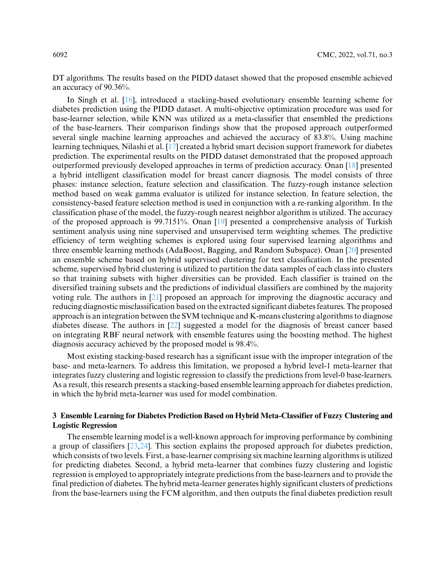DT algorithms. The results based on the PIDD dataset showed that the proposed ensemble achieved an accuracy of 90.36%.

In Singh et al. [\[16\]](#page-15-6), introduced a stacking-based evolutionary ensemble learning scheme for diabetes prediction using the PIDD dataset. A multi-objective optimization procedure was used for base-learner selection, while KNN was utilized as a meta-classifier that ensembled the predictions of the base-learners. Their comparison findings show that the proposed approach outperformed several single machine learning approaches and achieved the accuracy of 83.8%. Using machine learning techniques, Nilashi et al. [\[17\]](#page-15-7) created a hybrid smart decision support framework for diabetes prediction. The experimental results on the PIDD dataset demonstrated that the proposed approach outperformed previously developed approaches in terms of prediction accuracy. Onan [\[18\]](#page-15-8) presented a hybrid intelligent classification model for breast cancer diagnosis. The model consists of three phases: instance selection, feature selection and classification. The fuzzy-rough instance selection method based on weak gamma evaluator is utilized for instance selection. In feature selection, the consistency-based feature selection method is used in conjunction with a re-ranking algorithm. In the classification phase of the model, the fuzzy-rough nearest neighbor algorithm is utilized. The accuracy of the proposed approach is 99.7151%. Onan [\[19\]](#page-15-9) presented a comprehensive analysis of Turkish sentiment analysis using nine supervised and unsupervised term weighting schemes. The predictive efficiency of term weighting schemes is explored using four supervised learning algorithms and three ensemble learning methods (AdaBoost, Bagging, and Random Subspace). Onan [\[20\]](#page-15-10) presented an ensemble scheme based on hybrid supervised clustering for text classification. In the presented scheme, supervised hybrid clustering is utilized to partition the data samples of each class into clusters so that training subsets with higher diversities can be provided. Each classifier is trained on the diversified training subsets and the predictions of individual classifiers are combined by the majority voting rule. The authors in [\[21\]](#page-15-11) proposed an approach for improving the diagnostic accuracy and reducing diagnostic misclassification based on the extracted significant diabetes features. The proposed approach is an integration between the SVM technique and K-means clustering algorithms to diagnose diabetes disease. The authors in [\[22\]](#page-15-12) suggested a model for the diagnosis of breast cancer based on integrating RBF neural network with ensemble features using the boosting method. The highest diagnosis accuracy achieved by the proposed model is 98.4%.

Most existing stacking-based research has a significant issue with the improper integration of the base- and meta-learners. To address this limitation, we proposed a hybrid level-1 meta-learner that integrates fuzzy clustering and logistic regression to classify the predictions from level-0 base-learners. As a result, this research presents a stacking-based ensemble learning approach for diabetes prediction, in which the hybrid meta-learner was used for model combination.

# **3 Ensemble Learning for Diabetes Prediction Based on Hybrid Meta-Classifier of Fuzzy Clustering and Logistic Regression**

The ensemble learning model is a well-known approach for improving performance by combining a group of classifiers [\[23](#page-15-13)[,24\]](#page-15-14). This section explains the proposed approach for diabetes prediction, which consists of two levels. First, a base-learner comprising six machine learning algorithms is utilized for predicting diabetes. Second, a hybrid meta-learner that combines fuzzy clustering and logistic regression is employed to appropriately integrate predictions from the base-learners and to provide the final prediction of diabetes. The hybrid meta-learner generates highly significant clusters of predictions from the base-learners using the FCM algorithm, and then outputs the final diabetes prediction result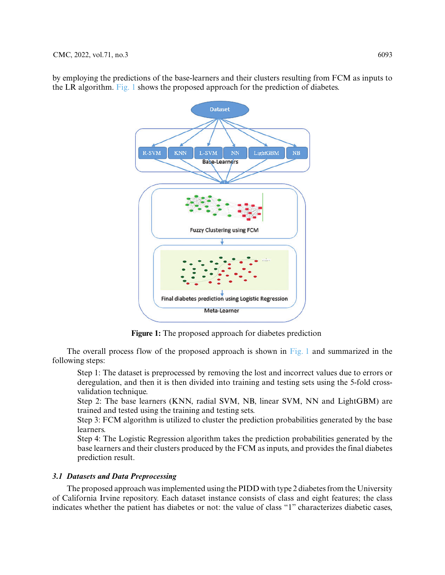

by employing the predictions of the base-learners and their clusters resulting from FCM as inputs to the LR algorithm. [Fig. 1](#page-4-0) shows the proposed approach for the prediction of diabetes.

**Figure 1:** The proposed approach for diabetes prediction

<span id="page-4-0"></span>The overall process flow of the proposed approach is shown in [Fig. 1](#page-4-0) and summarized in the following steps:

Step 1: The dataset is preprocessed by removing the lost and incorrect values due to errors or deregulation, and then it is then divided into training and testing sets using the 5-fold crossvalidation technique.

Step 2: The base learners (KNN, radial SVM, NB, linear SVM, NN and LightGBM) are trained and tested using the training and testing sets.

Step 3: FCM algorithm is utilized to cluster the prediction probabilities generated by the base learners.

Step 4: The Logistic Regression algorithm takes the prediction probabilities generated by the base learners and their clusters produced by the FCM as inputs, and provides the final diabetes prediction result.

# *3.1 Datasets and Data Preprocessing*

The proposed approach was implemented using the PIDD with type 2 diabetes from the University of California Irvine repository. Each dataset instance consists of class and eight features; the class indicates whether the patient has diabetes or not: the value of class "1" characterizes diabetic cases,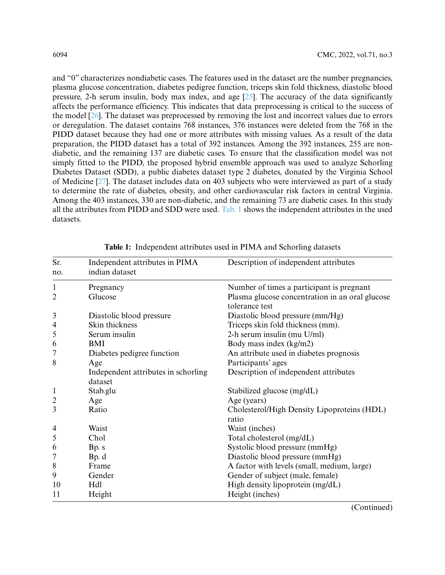and "0" characterizes nondiabetic cases. The features used in the dataset are the number pregnancies, plasma glucose concentration, diabetes pedigree function, triceps skin fold thickness, diastolic blood pressure. 2-h serum insulin, body max index, and age  $[25]$ . The accuracy of the data significantly affects the performance efficiency. This indicates that data preprocessing is critical to the success of the model [\[26\]](#page-15-16). The dataset was preprocessed by removing the lost and incorrect values due to errors or deregulation. The dataset contains 768 instances, 376 instances were deleted from the 768 in the PIDD dataset because they had one or more attributes with missing values. As a result of the data preparation, the PIDD dataset has a total of 392 instances. Among the 392 instances, 255 are nondiabetic, and the remaining 137 are diabetic cases. To ensure that the classification model was not simply fitted to the PIDD, the proposed hybrid ensemble approach was used to analyze Schorling Diabetes Dataset (SDD), a public diabetes dataset type 2 diabetes, donated by the Virginia School of Medicine [\[27\]](#page-15-17). The dataset includes data on 403 subjects who were interviewed as part of a study to determine the rate of diabetes, obesity, and other cardiovascular risk factors in central Virginia. Among the 403 instances, 330 are non-diabetic, and the remaining 73 are diabetic cases. In this study all the attributes from PIDD and SDD were used. [Tab. 1](#page-5-0) shows the independent attributes in the used datasets.

| Sr.            | Independent attributes in PIMA      | Description of independent attributes                             |
|----------------|-------------------------------------|-------------------------------------------------------------------|
| no.            | indian dataset                      |                                                                   |
| 1              | Pregnancy                           | Number of times a participant is pregnant                         |
| 2              | Glucose                             | Plasma glucose concentration in an oral glucose<br>tolerance test |
| 3              | Diastolic blood pressure            | Diastolic blood pressure (mm/Hg)                                  |
| 4              | Skin thickness                      | Triceps skin fold thickness (mm).                                 |
| 5              | Serum insulin                       | 2-h serum insulin (mu U/ml)                                       |
| 6              | <b>BMI</b>                          | Body mass index (kg/m2)                                           |
| 7              | Diabetes pedigree function          | An attribute used in diabetes prognosis                           |
| 8              | Age                                 | Participants' ages                                                |
|                | Independent attributes in schorling | Description of independent attributes                             |
|                | dataset                             |                                                                   |
| $\mathbf{1}$   | Stab.glu                            | Stabilized glucose (mg/dL)                                        |
| $\overline{c}$ | Age                                 | Age (years)                                                       |
| 3              | Ratio                               | Cholesterol/High Density Lipoproteins (HDL)<br>ratio              |
| 4              | Waist                               | Waist (inches)                                                    |
| 5              | Chol                                | Total cholesterol (mg/dL)                                         |
| 6              | Bp. s                               | Systolic blood pressure (mmHg)                                    |
| 7              | Bp. d                               | Diastolic blood pressure (mmHg)                                   |
| 8              | Frame                               | A factor with levels (small, medium, large)                       |
| 9              | Gender                              | Gender of subject (male, female)                                  |
| 10             | Hdl                                 | High density lipoprotein (mg/dL)                                  |
| 11             | Height                              | Height (inches)                                                   |

<span id="page-5-0"></span>**Table 1:** Independent attributes used in PIMA and Schorling datasets

(Continued)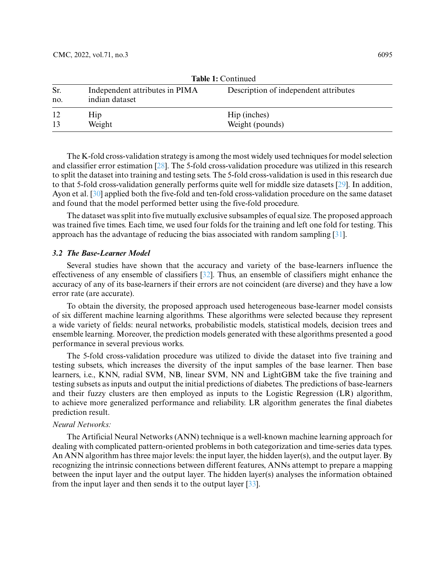|            |                                                  | $\mathbf{1}$ uviv 1. $\mathbf{1}$     |
|------------|--------------------------------------------------|---------------------------------------|
| Sr.<br>no. | Independent attributes in PIMA<br>indian dataset | Description of independent attributes |
| 12<br>13   | <b>Hip</b><br>Weight                             | Hip (inches)<br>Weight (pounds)       |

**Table 1:** Continued

The K-fold cross-validation strategy is among the most widely used techniques for model selection and classifier error estimation [\[28\]](#page-15-18). The 5-fold cross-validation procedure was utilized in this research to split the dataset into training and testing sets. The 5-fold cross-validation is used in this research due to that 5-fold cross-validation generally performs quite well for middle size datasets [\[29\]](#page-15-19). In addition, Ayon et al. [\[30\]](#page-16-0) applied both the five-fold and ten-fold cross-validation procedure on the same dataset and found that the model performed better using the five-fold procedure.

The dataset was split into five mutually exclusive subsamples of equal size. The proposed approach was trained five times. Each time, we used four folds for the training and left one fold for testing. This approach has the advantage of reducing the bias associated with random sampling [\[31\]](#page-16-1).

# *3.2 The Base-Learner Model*

Several studies have shown that the accuracy and variety of the base-learners influence the effectiveness of any ensemble of classifiers [\[32\]](#page-16-2). Thus, an ensemble of classifiers might enhance the accuracy of any of its base-learners if their errors are not coincident (are diverse) and they have a low error rate (are accurate).

To obtain the diversity, the proposed approach used heterogeneous base-learner model consists of six different machine learning algorithms. These algorithms were selected because they represent a wide variety of fields: neural networks, probabilistic models, statistical models, decision trees and ensemble learning. Moreover, the prediction models generated with these algorithms presented a good performance in several previous works.

The 5-fold cross-validation procedure was utilized to divide the dataset into five training and testing subsets, which increases the diversity of the input samples of the base learner. Then base learners, i.e., KNN, radial SVM, NB, linear SVM, NN and LightGBM take the five training and testing subsets as inputs and output the initial predictions of diabetes. The predictions of base-learners and their fuzzy clusters are then employed as inputs to the Logistic Regression (LR) algorithm, to achieve more generalized performance and reliability. LR algorithm generates the final diabetes prediction result.

#### *Neural Networks:*

The Artificial Neural Networks (ANN) technique is a well-known machine learning approach for dealing with complicated pattern-oriented problems in both categorization and time-series data types. An ANN algorithm has three major levels: the input layer, the hidden layer(s), and the output layer. By recognizing the intrinsic connections between different features, ANNs attempt to prepare a mapping between the input layer and the output layer. The hidden layer(s) analyses the information obtained from the input layer and then sends it to the output layer [\[33\]](#page-16-3).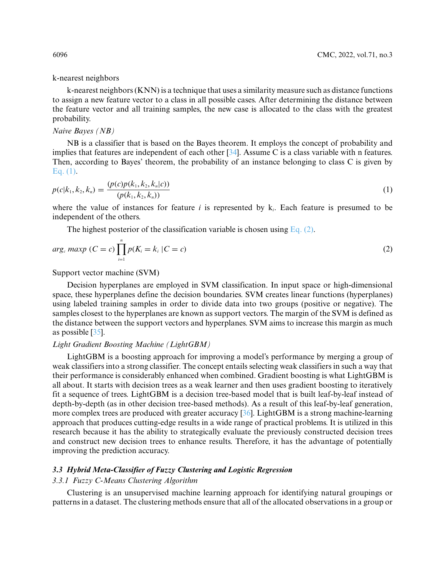## k-nearest neighbors

k-nearest neighbors (KNN) is a technique that uses a similarity measure such as distance functions to assign a new feature vector to a class in all possible cases. After determining the distance between the feature vector and all training samples, the new case is allocated to the class with the greatest probability.

### *Naive Bayes (NB)*

NB is a classifier that is based on the Bayes theorem. It employs the concept of probability and implies that features are independent of each other [\[34\]](#page-16-4). Assume C is a class variable with n features. Then, according to Bayes' theorem, the probability of an instance belonging to class C is given by [Eq. \(1\).](#page-7-0)

<span id="page-7-0"></span>
$$
p(c|k_1, k_2, k_n) = \frac{(p(c)p(k_1, k_2, k_n|c))}{(p(k_1, k_2, k_n))}
$$
\n(1)

where the value of instances for feature *i* is represented by k*i*. Each feature is presumed to be independent of the others.

<span id="page-7-1"></span>The highest posterior of the classification variable is chosen using Eq.  $(2)$ .

$$
arg_c \, maxp \, (C = c) \prod_{i=1}^{n} p(K_i = k_i \, | C = c) \tag{2}
$$

Support vector machine (SVM)

Decision hyperplanes are employed in SVM classification. In input space or high-dimensional space, these hyperplanes define the decision boundaries. SVM creates linear functions (hyperplanes) using labeled training samples in order to divide data into two groups (positive or negative). The samples closest to the hyperplanes are known as support vectors. The margin of the SVM is defined as the distance between the support vectors and hyperplanes. SVM aims to increase this margin as much as possible [\[35\]](#page-16-5).

#### *Light Gradient Boosting Machine (LightGBM)*

LightGBM is a boosting approach for improving a model's performance by merging a group of weak classifiers into a strong classifier. The concept entails selecting weak classifiers in such a way that their performance is considerably enhanced when combined. Gradient boosting is what LightGBM is all about. It starts with decision trees as a weak learner and then uses gradient boosting to iteratively fit a sequence of trees. LightGBM is a decision tree-based model that is built leaf-by-leaf instead of depth-by-depth (as in other decision tree-based methods). As a result of this leaf-by-leaf generation, more complex trees are produced with greater accuracy [\[36\]](#page-16-6). LightGBM is a strong machine-learning approach that produces cutting-edge results in a wide range of practical problems. It is utilized in this research because it has the ability to strategically evaluate the previously constructed decision trees and construct new decision trees to enhance results. Therefore, it has the advantage of potentially improving the prediction accuracy.

# *3.3 Hybrid Meta-Classifier of Fuzzy Clustering and Logistic Regression*

# *3.3.1 Fuzzy C-Means Clustering Algorithm*

Clustering is an unsupervised machine learning approach for identifying natural groupings or patterns in a dataset. The clustering methods ensure that all of the allocated observations in a group or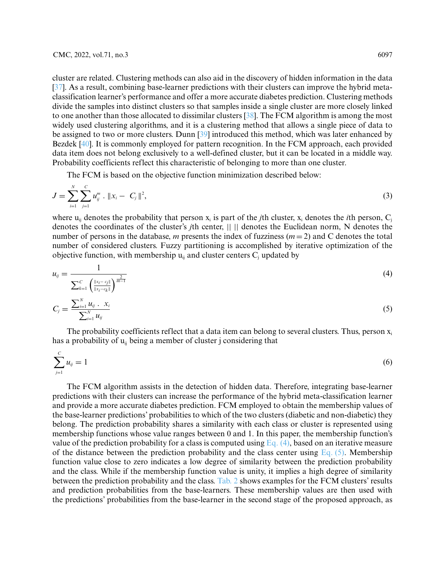cluster are related. Clustering methods can also aid in the discovery of hidden information in the data [\[37\]](#page-16-7). As a result, combining base-learner predictions with their clusters can improve the hybrid metaclassification learner's performance and offer a more accurate diabetes prediction. Clustering methods divide the samples into distinct clusters so that samples inside a single cluster are more closely linked to one another than those allocated to dissimilar clusters [\[38\]](#page-16-8). The FCM algorithm is among the most widely used clustering algorithms, and it is a clustering method that allows a single piece of data to be assigned to two or more clusters. Dunn [\[39\]](#page-16-9) introduced this method, which was later enhanced by Bezdek [\[40\]](#page-16-10). It is commonly employed for pattern recognition. In the FCM approach, each provided data item does not belong exclusively to a well-defined cluster, but it can be located in a middle way. Probability coefficients reflect this characteristic of belonging to more than one cluster.

The FCM is based on the objective function minimization described below:

$$
J = \sum_{i=1}^{N} \sum_{j=1}^{C} u_{ij}^{m} \cdot \|x_i - C_j\|^2,
$$
\n(3)

where  $u_{ii}$  denotes the probability that person  $x_i$  is part of the *j*th cluster, x<sub>i</sub> denotes the *i*th person,  $C_i$ denotes the coordinates of the cluster's *j*th center, || || denotes the Euclidean norm, N denotes the number of persons in the database, *m* presents the index of fuzziness (*m* = 2) and C denotes the total number of considered clusters. Fuzzy partitioning is accomplished by iterative optimization of the objective function, with membership  $u_{ii}$  and cluster centers  $C_i$  updated by

<span id="page-8-0"></span>
$$
u_{ij} = \frac{1}{\sum_{k=1}^{C} \left( \frac{\|x_i - c_j\|}{\|x_i - c_k\|} \right)^{\frac{2}{m-1}}}
$$
(4)

<span id="page-8-1"></span>
$$
C_j = \frac{\sum_{i=1}^{N} u_{ij} \cdot x_i}{\sum_{i=1}^{N} u_{ij}}
$$
(5)

The probability coefficients reflect that a data item can belong to several clusters. Thus, person  $x_i$ has a probability of  $u_{ii}$  being a member of cluster j considering that

$$
\sum_{j=1}^{C} u_{ij} = 1 \tag{6}
$$

The FCM algorithm assists in the detection of hidden data. Therefore, integrating base-learner predictions with their clusters can increase the performance of the hybrid meta-classification learner and provide a more accurate diabetes prediction. FCM employed to obtain the membership values of the base-learner predictions' probabilities to which of the two clusters (diabetic and non-diabetic) they belong. The prediction probability shares a similarity with each class or cluster is represented using membership functions whose value ranges between 0 and 1. In this paper, the membership function's value of the prediction probability for a class is computed using Eq.  $(4)$ , based on an iterative measure of the distance between the prediction probability and the class center using [Eq. \(5\).](#page-8-1) Membership function value close to zero indicates a low degree of similarity between the prediction probability and the class. While if the membership function value is unity, it implies a high degree of similarity between the prediction probability and the class. [Tab. 2](#page-9-0) shows examples for the FCM clusters' results and prediction probabilities from the base-learners. These membership values are then used with the predictions' probabilities from the base-learner in the second stage of the proposed approach, as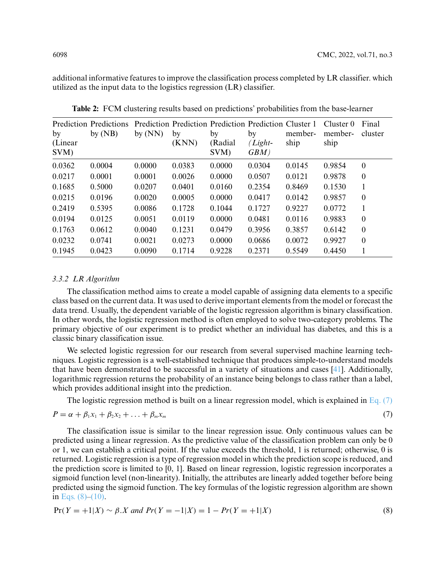additional informative features to improve the classification process completed by LR classifier. which utilized as the input data to the logistics regression (LR) classifier.

<span id="page-9-0"></span>

| by<br>(Linear<br>SVM) | <b>Prediction Predictions</b><br>by $(NB)$ | by $(NN)$ | by<br>(KNN) | by<br>(Radial<br>SVM) | Prediction Prediction Prediction Prediction Cluster 1<br>by<br>$(Light-)$<br>GBM) | member-<br>ship | Cluster $0$<br>member-<br>ship | Final<br>cluster |
|-----------------------|--------------------------------------------|-----------|-------------|-----------------------|-----------------------------------------------------------------------------------|-----------------|--------------------------------|------------------|
| 0.0362                | 0.0004                                     | 0.0000    | 0.0383      | 0.0000                | 0.0304                                                                            | 0.0145          | 0.9854                         | $\boldsymbol{0}$ |
| 0.0217                | 0.0001                                     | 0.0001    | 0.0026      | 0.0000                | 0.0507                                                                            | 0.0121          | 0.9878                         | $\boldsymbol{0}$ |
| 0.1685                | 0.5000                                     | 0.0207    | 0.0401      | 0.0160                | 0.2354                                                                            | 0.8469          | 0.1530                         | 1                |
| 0.0215                | 0.0196                                     | 0.0020    | 0.0005      | 0.0000                | 0.0417                                                                            | 0.0142          | 0.9857                         | $\boldsymbol{0}$ |
| 0.2419                | 0.5395                                     | 0.0086    | 0.1728      | 0.1044                | 0.1727                                                                            | 0.9227          | 0.0772                         | 1                |
| 0.0194                | 0.0125                                     | 0.0051    | 0.0119      | 0.0000                | 0.0481                                                                            | 0.0116          | 0.9883                         | $\boldsymbol{0}$ |
| 0.1763                | 0.0612                                     | 0.0040    | 0.1231      | 0.0479                | 0.3956                                                                            | 0.3857          | 0.6142                         | $\overline{0}$   |
| 0.0232                | 0.0741                                     | 0.0021    | 0.0273      | 0.0000                | 0.0686                                                                            | 0.0072          | 0.9927                         | $\overline{0}$   |
| 0.1945                | 0.0423                                     | 0.0090    | 0.1714      | 0.9228                | 0.2371                                                                            | 0.5549          | 0.4450                         |                  |

**Table 2:** FCM clustering results based on predictions' probabilities from the base-learner

## *3.3.2 LR Algorithm*

The classification method aims to create a model capable of assigning data elements to a specific class based on the current data. It was used to derive important elements from the model or forecast the data trend. Usually, the dependent variable of the logistic regression algorithm is binary classification. In other words, the logistic regression method is often employed to solve two-category problems. The primary objective of our experiment is to predict whether an individual has diabetes, and this is a classic binary classification issue.

We selected logistic regression for our research from several supervised machine learning techniques. Logistic regression is a well-established technique that produces simple-to-understand models that have been demonstrated to be successful in a variety of situations and cases [\[41\]](#page-16-11). Additionally, logarithmic regression returns the probability of an instance being belongs to class rather than a label, which provides additional insight into the prediction.

<span id="page-9-1"></span>The logistic regression method is built on a linear regression model, which is explained in [Eq. \(7\)](#page-9-1)

$$
P = \alpha + \beta_1 x_1 + \beta_2 x_2 + \ldots + \beta_m x_m \tag{7}
$$

The classification issue is similar to the linear regression issue. Only continuous values can be predicted using a linear regression. As the predictive value of the classification problem can only be 0 or 1, we can establish a critical point. If the value exceeds the threshold, 1 is returned; otherwise, 0 is returned. Logistic regression is a type of regression model in which the prediction scope is reduced, and the prediction score is limited to [0, 1]. Based on linear regression, logistic regression incorporates a sigmoid function level (non-linearity). Initially, the attributes are linearly added together before being predicted using the sigmoid function. The key formulas of the logistic regression algorithm are shown in Eqs.  $(8)–(10)$ .

<span id="page-9-2"></span>
$$
Pr(Y = +1|X) \sim \beta.X \text{ and } Pr(Y = -1|X) = 1 - Pr(Y = +1|X)
$$
\n(8)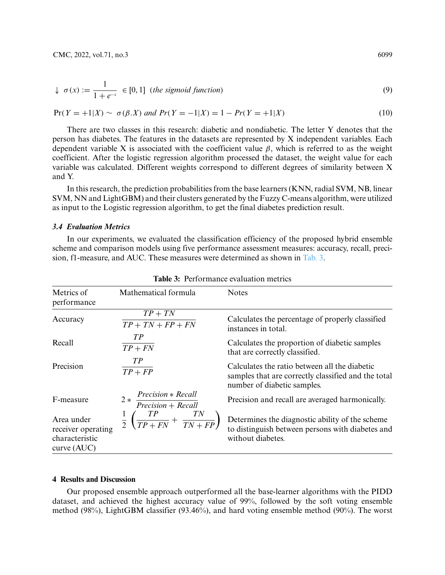$$
\downarrow \sigma(x) := \frac{1}{1 + e^{-x}} \in [0, 1] \text{ (the sigmoid function)}
$$
\n(9)

<span id="page-10-0"></span>
$$
Pr(Y = +1|X) \sim \sigma(\beta X) \text{ and } Pr(Y = -1|X) = 1 - Pr(Y = +1|X) \tag{10}
$$

There are two classes in this research: diabetic and nondiabetic. The letter Y denotes that the person has diabetes. The features in the datasets are represented by X independent variables. Each dependent variable X is associated with the coefficient value  $\beta$ , which is referred to as the weight coefficient. After the logistic regression algorithm processed the dataset, the weight value for each variable was calculated. Different weights correspond to different degrees of similarity between X and Y.

In this research, the prediction probabilities from the base learners (KNN, radial SVM, NB, linear SVM, NN and LightGBM) and their clusters generated by the Fuzzy C-means algorithm, were utilized as input to the Logistic regression algorithm, to get the final diabetes prediction result.

## *3.4 Evaluation Metrics*

In our experiments, we evaluated the classification efficiency of the proposed hybrid ensemble scheme and comparison models using five performance assessment measures: accuracy, recall, precision, f1-measure, and AUC. These measures were determined as shown in [Tab. 3.](#page-10-1)

<span id="page-10-1"></span>

| Metrics of<br>performance                                         | Mathematical formula                                        | <b>Notes</b>                                                                                                                        |
|-------------------------------------------------------------------|-------------------------------------------------------------|-------------------------------------------------------------------------------------------------------------------------------------|
| Accuracy                                                          | $TP + TN$<br>$TP + TN + FP + FN$                            | Calculates the percentage of properly classified<br>instances in total.                                                             |
| Recall                                                            | TP<br>$TP + FN$                                             | Calculates the proportion of diabetic samples<br>that are correctly classified.                                                     |
| Precision                                                         | TP<br>$TP + FP$                                             | Calculates the ratio between all the diabetic<br>samples that are correctly classified and the total<br>number of diabetic samples. |
| F-measure                                                         | Precision * Recall<br>$2*$<br>$Precision + Recall$          | Precision and recall are averaged harmonically.                                                                                     |
| Area under<br>receiver operating<br>characteristic<br>curve (AUC) | $\frac{1}{2}\left(\frac{TP}{TP+FN}+\frac{TN}{TN+FP}\right)$ | Determines the diagnostic ability of the scheme<br>to distinguish between persons with diabetes and<br>without diabetes.            |

**Table 3:** Performance evaluation metrics

## **4 Results and Discussion**

Our proposed ensemble approach outperformed all the base-learner algorithms with the PIDD dataset, and achieved the highest accuracy value of 99%, followed by the soft voting ensemble method (98%), LightGBM classifier (93.46%), and hard voting ensemble method (90%). The worst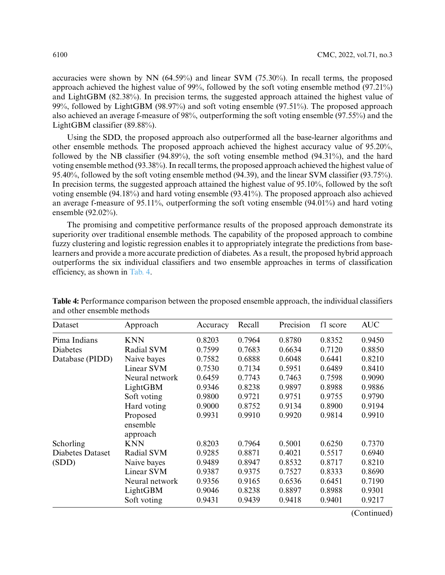accuracies were shown by NN  $(64.59%)$  and linear SVM  $(75.30%)$ . In recall terms, the proposed approach achieved the highest value of 99%, followed by the soft voting ensemble method (97.21%) and LightGBM (82.38%). In precision terms, the suggested approach attained the highest value of 99%, followed by LightGBM (98.97%) and soft voting ensemble (97.51%). The proposed approach also achieved an average f-measure of 98%, outperforming the soft voting ensemble (97.55%) and the LightGBM classifier (89.88%).

Using the SDD, the proposed approach also outperformed all the base-learner algorithms and other ensemble methods. The proposed approach achieved the highest accuracy value of 95.20%, followed by the NB classifier (94.89%), the soft voting ensemble method (94.31%), and the hard voting ensemble method (93.38%). In recall terms, the proposed approach achieved the highest value of 95.40%, followed by the soft voting ensemble method (94.39), and the linear SVM classifier (93.75%). In precision terms, the suggested approach attained the highest value of 95.10%, followed by the soft voting ensemble (94.18%) and hard voting ensemble (93.41%). The proposed approach also achieved an average f-measure of 95.11%, outperforming the soft voting ensemble  $(94.01\%)$  and hard voting ensemble (92.02%).

The promising and competitive performance results of the proposed approach demonstrate its superiority over traditional ensemble methods. The capability of the proposed approach to combine fuzzy clustering and logistic regression enables it to appropriately integrate the predictions from baselearners and provide a more accurate prediction of diabetes. As a result, the proposed hybrid approach outperforms the six individual classifiers and two ensemble approaches in terms of classification efficiency, as shown in [Tab. 4.](#page-11-0)

| Dataset          | Approach                         | Accuracy | Recall | Precision | f1 score | <b>AUC</b> |
|------------------|----------------------------------|----------|--------|-----------|----------|------------|
| Pima Indians     | KNN                              | 0.8203   | 0.7964 | 0.8780    | 0.8352   | 0.9450     |
| <b>Diabetes</b>  | Radial SVM                       | 0.7599   | 0.7683 | 0.6634    | 0.7120   | 0.8850     |
| Database (PIDD)  | Naive bayes                      | 0.7582   | 0.6888 | 0.6048    | 0.6441   | 0.8210     |
|                  | <b>Linear SVM</b>                | 0.7530   | 0.7134 | 0.5951    | 0.6489   | 0.8410     |
|                  | Neural network                   | 0.6459   | 0.7743 | 0.7463    | 0.7598   | 0.9090     |
|                  | LightGBM                         | 0.9346   | 0.8238 | 0.9897    | 0.8988   | 0.9886     |
|                  | Soft voting                      | 0.9800   | 0.9721 | 0.9751    | 0.9755   | 0.9790     |
|                  | Hard voting                      | 0.9000   | 0.8752 | 0.9134    | 0.8900   | 0.9194     |
|                  | Proposed<br>ensemble<br>approach | 0.9931   | 0.9910 | 0.9920    | 0.9814   | 0.9910     |
| Schorling        | <b>KNN</b>                       | 0.8203   | 0.7964 | 0.5001    | 0.6250   | 0.7370     |
| Diabetes Dataset | Radial SVM                       | 0.9285   | 0.8871 | 0.4021    | 0.5517   | 0.6940     |
| (SDD)            | Naive bayes                      | 0.9489   | 0.8947 | 0.8532    | 0.8717   | 0.8210     |
|                  | <b>Linear SVM</b>                | 0.9387   | 0.9375 | 0.7527    | 0.8333   | 0.8690     |
|                  | Neural network                   | 0.9356   | 0.9165 | 0.6536    | 0.6451   | 0.7190     |
|                  | LightGBM                         | 0.9046   | 0.8238 | 0.8897    | 0.8988   | 0.9301     |
|                  | Soft voting                      | 0.9431   | 0.9439 | 0.9418    | 0.9401   | 0.9217     |

<span id="page-11-0"></span>**Table 4:** Performance comparison between the proposed ensemble approach, the individual classifiers and other ensemble methods

(Continued)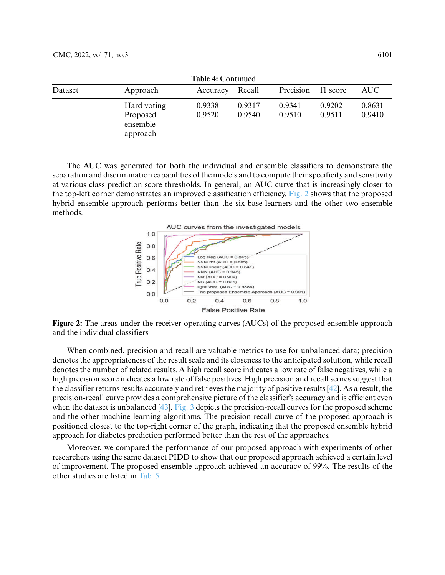| <b>Table 4: Continued</b> |                                                 |                  |                  |                  |                  |                  |
|---------------------------|-------------------------------------------------|------------------|------------------|------------------|------------------|------------------|
| Dataset                   | Approach                                        | Accuracy         | Recall           | Precision        | f1 score         | AUC              |
|                           | Hard voting<br>Proposed<br>ensemble<br>approach | 0.9338<br>0.9520 | 0.9317<br>0.9540 | 0.9341<br>0.9510 | 0.9202<br>0.9511 | 0.8631<br>0.9410 |

The AUC was generated for both the individual and ensemble classifiers to demonstrate the separation and discrimination capabilities of the models and to compute their specificity and sensitivity at various class prediction score thresholds. In general, an AUC curve that is increasingly closer to the top-left corner demonstrates an improved classification efficiency. [Fig. 2](#page-12-0) shows that the proposed hybrid ensemble approach performs better than the six-base-learners and the other two ensemble methods.



<span id="page-12-0"></span>**Figure 2:** The areas under the receiver operating curves (AUCs) of the proposed ensemble approach and the individual classifiers

When combined, precision and recall are valuable metrics to use for unbalanced data; precision denotes the appropriateness of the result scale and its closeness to the anticipated solution, while recall denotes the number of related results. A high recall score indicates a low rate of false negatives, while a high precision score indicates a low rate of false positives. High precision and recall scores suggest that the classifier returns results accurately and retrieves the majority of positive results [\[42\]](#page-16-12). As a result, the precision-recall curve provides a comprehensive picture of the classifier's accuracy and is efficient even when the dataset is unbalanced [\[43\]](#page-16-13). [Fig. 3](#page-13-0) depicts the precision-recall curves for the proposed scheme and the other machine learning algorithms. The precision-recall curve of the proposed approach is positioned closest to the top-right corner of the graph, indicating that the proposed ensemble hybrid approach for diabetes prediction performed better than the rest of the approaches.

Moreover, we compared the performance of our proposed approach with experiments of other researchers using the same dataset PIDD to show that our proposed approach achieved a certain level of improvement. The proposed ensemble approach achieved an accuracy of 99%. The results of the other studies are listed in [Tab. 5.](#page-13-1)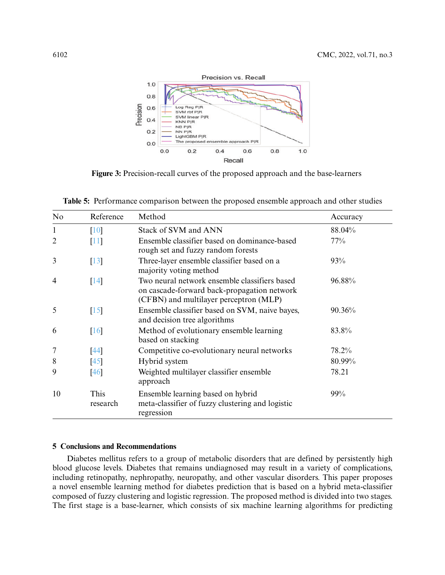

<span id="page-13-0"></span>**Figure 3:** Precision-recall curves of the proposed approach and the base-learners

<span id="page-13-1"></span>

| No             | Reference          | Method                                                                                                                                 | Accuracy |
|----------------|--------------------|----------------------------------------------------------------------------------------------------------------------------------------|----------|
| $\mathbf{1}$   | $\lceil 10 \rceil$ | Stack of SVM and ANN                                                                                                                   | 88.04%   |
| $\overline{2}$ | $[11]$             | Ensemble classifier based on dominance-based<br>rough set and fuzzy random forests                                                     | 77%      |
| 3              | $[13]$             | Three-layer ensemble classifier based on a<br>majority voting method                                                                   | 93%      |
| $\overline{4}$ | $\lceil 14 \rceil$ | Two neural network ensemble classifiers based<br>on cascade-forward back-propagation network<br>(CFBN) and multilayer perceptron (MLP) | 96.88%   |
| 5              | $[15]$             | Ensemble classifier based on SVM, naive bayes,<br>and decision tree algorithms                                                         | 90.36%   |
| 6              | [16]               | Method of evolutionary ensemble learning<br>based on stacking                                                                          | 83.8%    |
| 7              | $[44]$             | Competitive co-evolutionary neural networks                                                                                            | 78.2%    |
| 8              | [45]               | Hybrid system                                                                                                                          | 80.99%   |
| 9              | $\left[46\right]$  | Weighted multilayer classifier ensemble<br>approach                                                                                    | 78.21    |
| 10             | This<br>research   | Ensemble learning based on hybrid<br>meta-classifier of fuzzy clustering and logistic<br>regression                                    | 99%      |

## **5 Conclusions and Recommendations**

Diabetes mellitus refers to a group of metabolic disorders that are defined by persistently high blood glucose levels. Diabetes that remains undiagnosed may result in a variety of complications, including retinopathy, nephropathy, neuropathy, and other vascular disorders. This paper proposes a novel ensemble learning method for diabetes prediction that is based on a hybrid meta-classifier composed of fuzzy clustering and logistic regression. The proposed method is divided into two stages. The first stage is a base-learner, which consists of six machine learning algorithms for predicting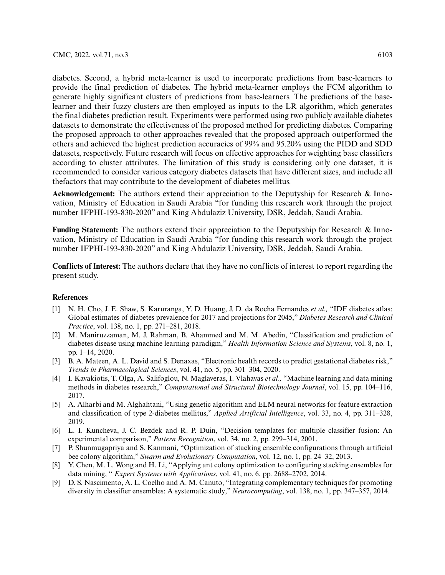diabetes. Second, a hybrid meta-learner is used to incorporate predictions from base-learners to provide the final prediction of diabetes. The hybrid meta-learner employs the FCM algorithm to generate highly significant clusters of predictions from base-learners. The predictions of the baselearner and their fuzzy clusters are then employed as inputs to the LR algorithm, which generates the final diabetes prediction result. Experiments were performed using two publicly available diabetes datasets to demonstrate the effectiveness of the proposed method for predicting diabetes. Comparing the proposed approach to other approaches revealed that the proposed approach outperformed the others and achieved the highest prediction accuracies of 99% and 95.20% using the PIDD and SDD datasets, respectively. Future research will focus on effective approaches for weighting base classifiers according to cluster attributes. The limitation of this study is considering only one dataset, it is recommended to consider various category diabetes datasets that have different sizes, and include all thefactors that may contribute to the development of diabetes mellitus.

**Acknowledgement:** The authors extend their appreciation to the Deputyship for Research & Innovation, Ministry of Education in Saudi Arabia "for funding this research work through the project number IFPHI-193-830-2020" and King Abdulaziz University, DSR, Jeddah, Saudi Arabia.

**Funding Statement:** The authors extend their appreciation to the Deputyship for Research & Innovation, Ministry of Education in Saudi Arabia "for funding this research work through the project number IFPHI-193-830-2020" and King Abdulaziz University, DSR, Jeddah, Saudi Arabia.

**Conflicts of Interest:** The authors declare that they have no conflicts of interest to report regarding the present study.

# **References**

- <span id="page-14-0"></span>[1] N. H. Cho, J. E. Shaw, S. Karuranga, Y. D. Huang, J. D. da Rocha Fernandes *et al.,* "IDF diabetes atlas: Global estimates of diabetes prevalence for 2017 and projections for 2045," *Diabetes Research and Clinical Practice*, vol. 138, no. 1, pp. 271–281, 2018.
- <span id="page-14-1"></span>[2] M. Maniruzzaman, M. J. Rahman, B. Ahammed and M. M. Abedin, "Classification and prediction of diabetes disease using machine learning paradigm," *Health Information Science and Systems*, vol. 8, no. 1, pp. 1–14, 2020.
- <span id="page-14-2"></span>[3] B. A. Mateen, A. L. David and S. Denaxas, "Electronic health records to predict gestational diabetes risk," *Trends in Pharmacological Sciences*, vol. 41, no. 5, pp. 301–304, 2020.
- <span id="page-14-3"></span>[4] I. Kavakiotis, T. Olga, A. Salifoglou, N. Maglaveras, I. Vlahavas *et al.,* "Machine learning and data mining methods in diabetes research," *Computational and Structural Biotechnology Journal*, vol. 15, pp. 104–116, 2017.
- <span id="page-14-4"></span>[5] A. Alharbi and M. Alghahtani, "Using genetic algorithm and ELM neural networks for feature extraction and classification of type 2-diabetes mellitus," *Applied Artificial Intelligence*, vol. 33, no. 4, pp. 311–328, 2019.
- <span id="page-14-5"></span>[6] L. I. Kuncheva, J. C. Bezdek and R. P. Duin, "Decision templates for multiple classifier fusion: An experimental comparison," *Pattern Recognition*, vol. 34, no. 2, pp. 299–314, 2001.
- <span id="page-14-6"></span>[7] P. Shunmugapriya and S. Kanmani, "Optimization of stacking ensemble configurations through artificial bee colony algorithm," *Swarm and Evolutionary Computation*, vol. 12, no. 1, pp. 24–32, 2013.
- <span id="page-14-7"></span>[8] Y. Chen, M. L. Wong and H. Li, "Applying ant colony optimization to configuring stacking ensembles for data mining, " *Expert Systems with Applications*, vol. 41, no. 6, pp. 2688–2702, 2014.
- <span id="page-14-8"></span>[9] D. S. Nascimento, A. L. Coelho and A. M. Canuto, "Integrating complementary techniques for promoting diversity in classifier ensembles: A systematic study," *Neurocomputing*, vol. 138, no. 1, pp. 347–357, 2014.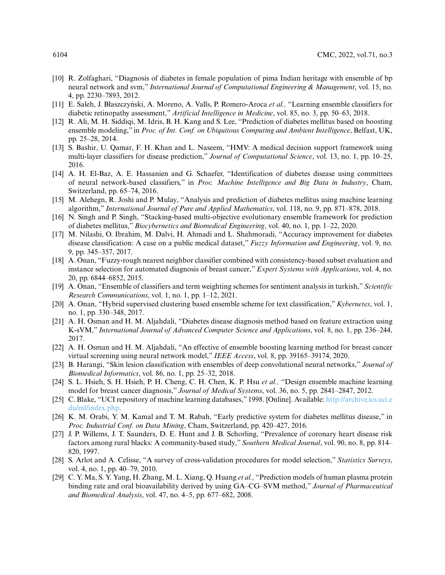- <span id="page-15-0"></span>[10] R. Zolfaghari, "Diagnosis of diabetes in female population of pima Indian heritage with ensemble of bp neural network and svm," *International Journal of Computational Engineering & Management*, vol. 15, no. 4, pp. 2230–7893, 2012.
- <span id="page-15-1"></span>[11] E. Saleh, J. Błaszczyński, A. Moreno, A. Valls, P. Romero-Aroca et al., "Learning ensemble classifiers for diabetic retinopathy assessment," *Artificial Intelligence in Medicine*, vol. 85, no. 3, pp. 50–63, 2018.
- <span id="page-15-2"></span>[12] R. Ali, M. H. Siddiqi, M. Idris, B. H. Kang and S. Lee, "Prediction of diabetes mellitus based on boosting ensemble modeling," in *Proc. of Int. Conf. on Ubiquitous Computing and Ambient Intelligence*, Belfast, UK, pp. 25–28, 2014.
- <span id="page-15-3"></span>[13] S. Bashir, U. Qamar, F. H. Khan and L. Naseem, "HMV: A medical decision support framework using multi-layer classifiers for disease prediction," *Journal of Computational Science*, vol. 13, no. 1, pp. 10–25, 2016.
- <span id="page-15-4"></span>[14] A. H. El-Baz, A. E. Hassanien and G. Schaefer, "Identification of diabetes disease using committees of neural network-based classifiers," in *Proc. Machine Intelligence and Big Data in Industry*, Cham, Switzerland, pp. 65–74, 2016.
- <span id="page-15-5"></span>[15] M. Alehegn, R. Joshi and P. Mulay, "Analysis and prediction of diabetes mellitus using machine learning algorithm," *International Journal of Pure and Applied Mathematics*, vol. 118, no. 9, pp. 871–878, 2018.
- <span id="page-15-6"></span>[16] N. Singh and P. Singh, "Stacking-based multi-objective evolutionary ensemble framework for prediction of diabetes mellitus," *Biocybernetics and Biomedical Engineering*, vol. 40, no. 1, pp. 1–22, 2020.
- <span id="page-15-7"></span>[17] M. Nilashi, O. Ibrahim, M. Dalvi, H. Ahmadi and L. Shahmoradi, "Accuracy improvement for diabetes disease classification: A case on a public medical dataset," *Fuzzy Information and Engineering*, vol. 9, no. 9, pp. 345–357, 2017.
- <span id="page-15-8"></span>[18] A. Onan, "Fuzzy-rough nearest neighbor classifier combined with consistency-based subset evaluation and instance selection for automated diagnosis of breast cancer," *Expert Systems with Applications*, vol. 4, no. 20, pp. 6844–6852, 2015.
- <span id="page-15-9"></span>[19] A. Onan, "Ensemble of classifiers and term weighting schemes for sentiment analysis in turkish," *Scientific Research Communications*, vol. 1, no. 1, pp. 1–12, 2021.
- <span id="page-15-10"></span>[20] A. Onan, "Hybrid supervised clustering based ensemble scheme for text classification," *Kybernetes*, vol. 1, no. 1, pp. 330–348, 2017.
- <span id="page-15-11"></span>[21] A. H. Osman and H. M. Aljahdali, "Diabetes disease diagnosis method based on feature extraction using K-sVM," *International Journal of Advanced Computer Science and Applications*, vol. 8, no. 1, pp. 236–244, 2017.
- <span id="page-15-12"></span>[22] A. H. Osman and H. M. Aljahdali, "An effective of ensemble boosting learning method for breast cancer virtual screening using neural network model," *IEEE Access*, vol. 8, pp. 39165–39174, 2020.
- <span id="page-15-13"></span>[23] B. Harangi, "Skin lesion classification with ensembles of deep convolutional neural networks," *Journal of Biomedical Informatics*, vol. 86, no. 1, pp. 25–32, 2018.
- <span id="page-15-14"></span>[24] S. L. Hsieh, S. H. Hsieh, P. H. Cheng, C. H. Chen, K. P. Hsu *et al.,* "Design ensemble machine learning model for breast cancer diagnosis," *Journal of Medical Systems*, vol. 36, no. 5, pp. 2841–2847, 2012.
- <span id="page-15-15"></span>[25] C. Blake, "UCI repository of machine learning databases," 1998. [Online]. Available: [http://archive.ics.uci.e](http://archive.ics.uci.edu/ml/index.php) [du/ml/index.php.](http://archive.ics.uci.edu/ml/index.php)
- <span id="page-15-16"></span>[26] K. M. Orabi, Y. M. Kamal and T. M. Rabah, "Early predictive system for diabetes mellitus disease," in *Proc. Industrial Conf. on Data Mining*, Cham, Switzerland, pp. 420–427, 2016.
- <span id="page-15-17"></span>[27] J. P. Willems, J. T. Saunders, D. E. Hunt and J. B. Schorling, "Prevalence of coronary heart disease risk factors among rural blacks: A community-based study," *Southern Medical Journal*, vol. 90, no. 8, pp. 814– 820, 1997.
- <span id="page-15-18"></span>[28] S. Arlot and A. Celisse, "A survey of cross-validation procedures for model selection," *Statistics Surveys*, vol. 4, no. 1, pp. 40–79, 2010.
- <span id="page-15-19"></span>[29] C. Y. Ma, S. Y. Yang, H. Zhang, M. L. Xiang, Q. Huang *et al.,* "Prediction models of human plasma protein binding rate and oral bioavailability derived by using GA–CG–SVM method," *Journal of Pharmaceutical and Biomedical Analysis*, vol. 47, no. 4–5, pp. 677–682, 2008.